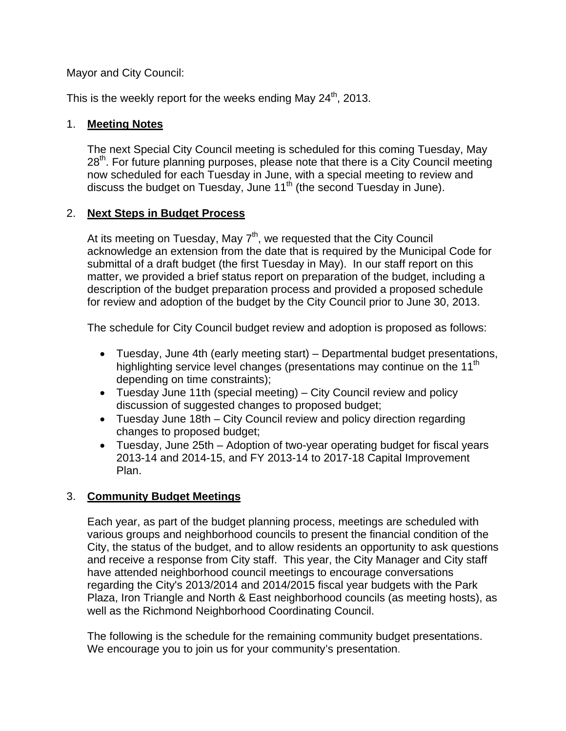Mayor and City Council:

This is the weekly report for the weeks ending May  $24<sup>th</sup>$ , 2013.

## 1. **Meeting Notes**

The next Special City Council meeting is scheduled for this coming Tuesday, May  $28<sup>th</sup>$ . For future planning purposes, please note that there is a City Council meeting now scheduled for each Tuesday in June, with a special meeting to review and discuss the budget on Tuesday, June  $11<sup>th</sup>$  (the second Tuesday in June).

# 2. **Next Steps in Budget Process**

At its meeting on Tuesday, May  $7<sup>th</sup>$ , we requested that the City Council acknowledge an extension from the date that is required by the Municipal Code for submittal of a draft budget (the first Tuesday in May). In our staff report on this matter, we provided a brief status report on preparation of the budget, including a description of the budget preparation process and provided a proposed schedule for review and adoption of the budget by the City Council prior to June 30, 2013.

The schedule for City Council budget review and adoption is proposed as follows:

- Tuesday, June 4th (early meeting start) Departmental budget presentations, highlighting service level changes (presentations may continue on the 11<sup>th</sup> depending on time constraints);
- Tuesday June 11th (special meeting) City Council review and policy discussion of suggested changes to proposed budget;
- Tuesday June 18th City Council review and policy direction regarding changes to proposed budget;
- Tuesday, June 25th Adoption of two-year operating budget for fiscal years 2013-14 and 2014-15, and FY 2013-14 to 2017-18 Capital Improvement Plan.

# 3. **Community Budget Meetings**

Each year, as part of the budget planning process, meetings are scheduled with various groups and neighborhood councils to present the financial condition of the City, the status of the budget, and to allow residents an opportunity to ask questions and receive a response from City staff. This year, the City Manager and City staff have attended neighborhood council meetings to encourage conversations regarding the City's 2013/2014 and 2014/2015 fiscal year budgets with the Park Plaza, Iron Triangle and North & East neighborhood councils (as meeting hosts), as well as the Richmond Neighborhood Coordinating Council.

The following is the schedule for the remaining community budget presentations. We encourage you to join us for your community's presentation.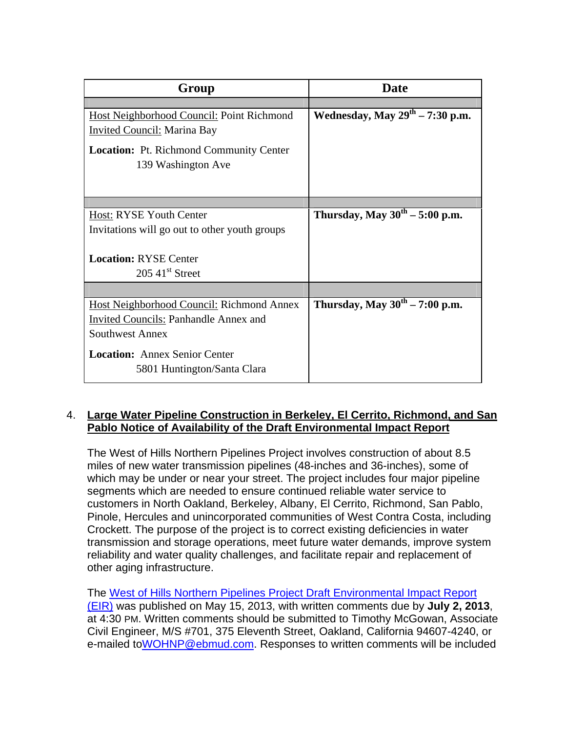| Group                                            | Date                                       |
|--------------------------------------------------|--------------------------------------------|
|                                                  |                                            |
| <b>Host Neighborhood Council: Point Richmond</b> | Wednesday, May $29th - 7:30$ p.m.          |
| <b>Invited Council: Marina Bay</b>               |                                            |
| <b>Location:</b> Pt. Richmond Community Center   |                                            |
| 139 Washington Ave                               |                                            |
|                                                  |                                            |
|                                                  |                                            |
|                                                  |                                            |
| Host: RYSE Youth Center                          | Thursday, May $30^{\text{th}} - 5:00$ p.m. |
| Invitations will go out to other youth groups    |                                            |
|                                                  |                                            |
| <b>Location: RYSE Center</b>                     |                                            |
| $205\;41$ <sup>st</sup> Street                   |                                            |
|                                                  |                                            |
| <b>Host Neighborhood Council: Richmond Annex</b> | Thursday, May $30^{th}$ – 7:00 p.m.        |
| <b>Invited Councils: Panhandle Annex and</b>     |                                            |
| <b>Southwest Annex</b>                           |                                            |
| <b>Location:</b> Annex Senior Center             |                                            |
| 5801 Huntington/Santa Clara                      |                                            |
|                                                  |                                            |

#### 4. **Large Water Pipeline Construction in Berkeley, El Cerrito, Richmond, and San Pablo Notice of Availability of the Draft Environmental Impact Report**

The West of Hills Northern Pipelines Project involves construction of about 8.5 miles of new water transmission pipelines (48-inches and 36-inches), some of which may be under or near your street. The project includes four major pipeline segments which are needed to ensure continued reliable water service to customers in North Oakland, Berkeley, Albany, El Cerrito, Richmond, San Pablo, Pinole, Hercules and unincorporated communities of West Contra Costa, including Crockett. The purpose of the project is to correct existing deficiencies in water transmission and storage operations, meet future water demands, improve system reliability and water quality challenges, and facilitate repair and replacement of other aging infrastructure.

The West of Hills Northern Pipelines Project Draft Environmental Impact Report (EIR) was published on May 15, 2013, with written comments due by **July 2, 2013**, at 4:30 PM. Written comments should be submitted to Timothy McGowan, Associate Civil Engineer, M/S #701, 375 Eleventh Street, Oakland, California 94607-4240, or e-mailed to WOHNP@ebmud.com. Responses to written comments will be included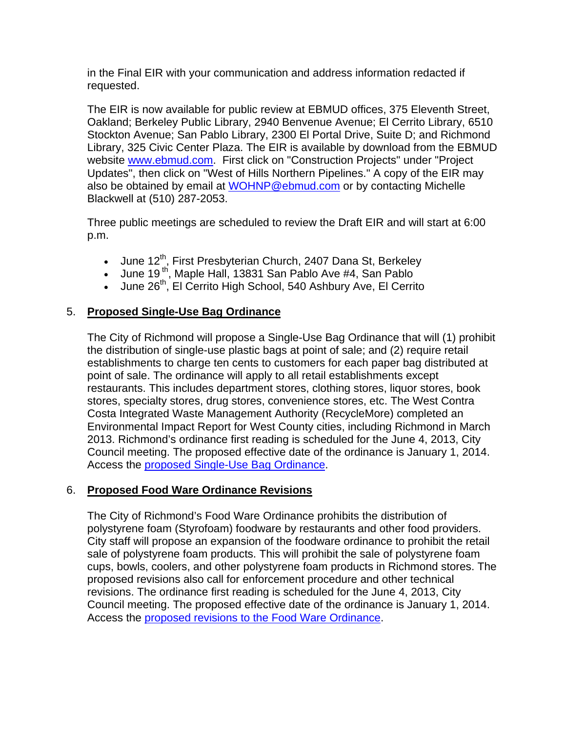in the Final EIR with your communication and address information redacted if requested.

The EIR is now available for public review at EBMUD offices, 375 Eleventh Street, Oakland; Berkeley Public Library, 2940 Benvenue Avenue; El Cerrito Library, 6510 Stockton Avenue; San Pablo Library, 2300 El Portal Drive, Suite D; and Richmond Library, 325 Civic Center Plaza. The EIR is available by download from the EBMUD website www.ebmud.com. First click on "Construction Projects" under "Project Updates", then click on "West of Hills Northern Pipelines." A copy of the EIR may also be obtained by email at **WOHNP@ebmud.com** or by contacting Michelle Blackwell at (510) 287-2053.

Three public meetings are scheduled to review the Draft EIR and will start at 6:00 p.m.

- June 12<sup>th</sup>, First Presbyterian Church, 2407 Dana St, Berkeley
- $\bullet$  June 19<sup>th</sup>, Maple Hall, 13831 San Pablo Ave #4, San Pablo
- June 26<sup>th</sup>, El Cerrito High School, 540 Ashbury Ave, El Cerrito

# 5. **Proposed Single-Use Bag Ordinance**

The City of Richmond will propose a Single-Use Bag Ordinance that will (1) prohibit the distribution of single-use plastic bags at point of sale; and (2) require retail establishments to charge ten cents to customers for each paper bag distributed at point of sale. The ordinance will apply to all retail establishments except restaurants. This includes department stores, clothing stores, liquor stores, book stores, specialty stores, drug stores, convenience stores, etc. The West Contra Costa Integrated Waste Management Authority (RecycleMore) completed an Environmental Impact Report for West County cities, including Richmond in March 2013. Richmond's ordinance first reading is scheduled for the June 4, 2013, City Council meeting. The proposed effective date of the ordinance is January 1, 2014. Access the proposed Single-Use Bag Ordinance.

# 6. **Proposed Food Ware Ordinance Revisions**

The City of Richmond's Food Ware Ordinance prohibits the distribution of polystyrene foam (Styrofoam) foodware by restaurants and other food providers. City staff will propose an expansion of the foodware ordinance to prohibit the retail sale of polystyrene foam products. This will prohibit the sale of polystyrene foam cups, bowls, coolers, and other polystyrene foam products in Richmond stores. The proposed revisions also call for enforcement procedure and other technical revisions. The ordinance first reading is scheduled for the June 4, 2013, City Council meeting. The proposed effective date of the ordinance is January 1, 2014. Access the proposed revisions to the Food Ware Ordinance.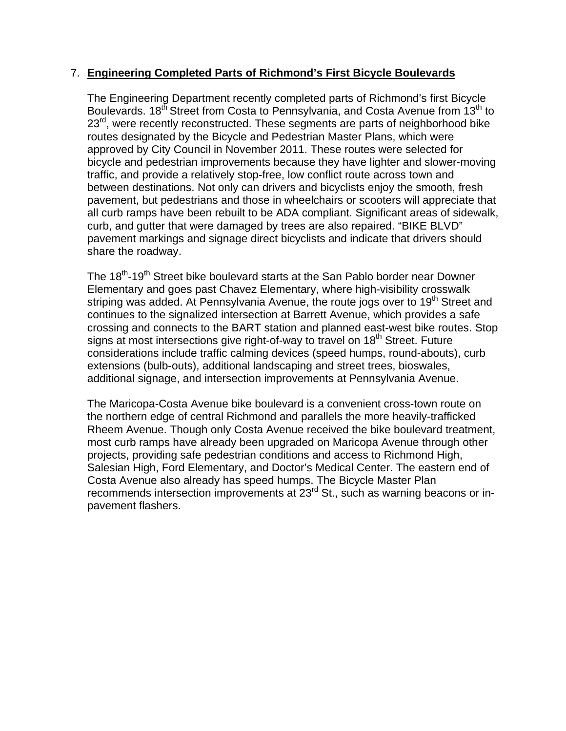### 7. **Engineering Completed Parts of Richmond's First Bicycle Boulevards**

The Engineering Department recently completed parts of Richmond's first Bicycle Boulevards.  $18<sup>th</sup>$  Street from Costa to Pennsylvania, and Costa Avenue from  $13<sup>th</sup>$  to 23<sup>rd</sup>, were recently reconstructed. These segments are parts of neighborhood bike routes designated by the Bicycle and Pedestrian Master Plans, which were approved by City Council in November 2011. These routes were selected for bicycle and pedestrian improvements because they have lighter and slower-moving traffic, and provide a relatively stop-free, low conflict route across town and between destinations. Not only can drivers and bicyclists enjoy the smooth, fresh pavement, but pedestrians and those in wheelchairs or scooters will appreciate that all curb ramps have been rebuilt to be ADA compliant. Significant areas of sidewalk, curb, and gutter that were damaged by trees are also repaired. "BIKE BLVD" pavement markings and signage direct bicyclists and indicate that drivers should share the roadway.

The 18<sup>th</sup>-19<sup>th</sup> Street bike boulevard starts at the San Pablo border near Downer Elementary and goes past Chavez Elementary, where high-visibility crosswalk striping was added. At Pennsylvania Avenue, the route jogs over to 19<sup>th</sup> Street and continues to the signalized intersection at Barrett Avenue, which provides a safe crossing and connects to the BART station and planned east-west bike routes. Stop signs at most intersections give right-of-way to travel on 18<sup>th</sup> Street. Future considerations include traffic calming devices (speed humps, round-abouts), curb extensions (bulb-outs), additional landscaping and street trees, bioswales, additional signage, and intersection improvements at Pennsylvania Avenue.

The Maricopa-Costa Avenue bike boulevard is a convenient cross-town route on the northern edge of central Richmond and parallels the more heavily-trafficked Rheem Avenue. Though only Costa Avenue received the bike boulevard treatment, most curb ramps have already been upgraded on Maricopa Avenue through other projects, providing safe pedestrian conditions and access to Richmond High, Salesian High, Ford Elementary, and Doctor's Medical Center. The eastern end of Costa Avenue also already has speed humps. The Bicycle Master Plan recommends intersection improvements at 23<sup>rd</sup> St., such as warning beacons or inpavement flashers.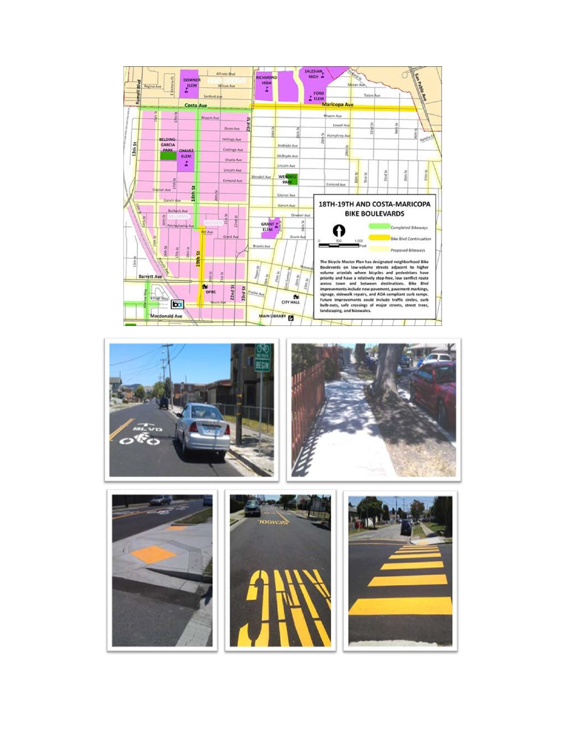









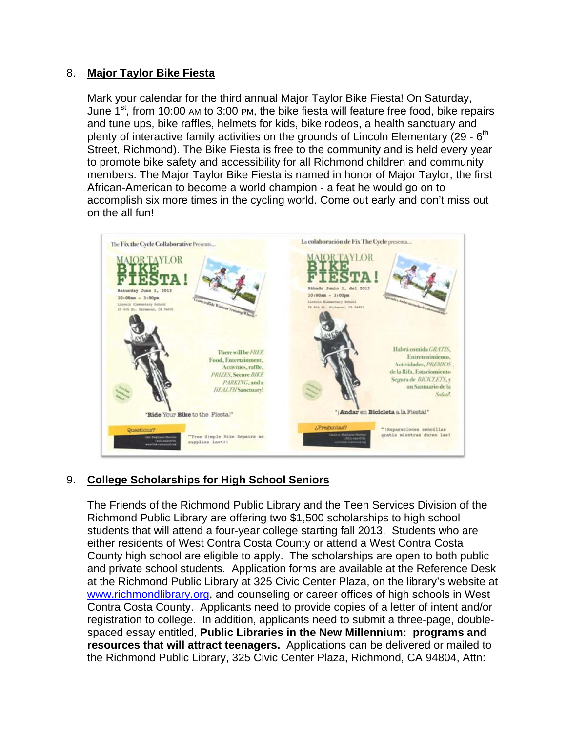## 8. **Major Taylor Bike Fiesta**

Mark your calendar for the third annual Major Taylor Bike Fiesta! On Saturday, June  $1^{st}$ , from 10:00 AM to 3:00 PM, the bike fiesta will feature free food, bike repairs and tune ups, bike raffles, helmets for kids, bike rodeos, a health sanctuary and plenty of interactive family activities on the grounds of Lincoln Elementary  $(29 - 6<sup>th</sup>)$ Street, Richmond). The Bike Fiesta is free to the community and is held every year to promote bike safety and accessibility for all Richmond children and community members. The Major Taylor Bike Fiesta is named in honor of Major Taylor, the first African-American to become a world champion - a feat he would go on to accomplish six more times in the cycling world. Come out early and don't miss out on the all fun!



# 9. **College Scholarships for High School Seniors**

The Friends of the Richmond Public Library and the Teen Services Division of the Richmond Public Library are offering two \$1,500 scholarships to high school students that will attend a four-year college starting fall 2013. Students who are either residents of West Contra Costa County or attend a West Contra Costa County high school are eligible to apply. The scholarships are open to both public and private school students. Application forms are available at the Reference Desk at the Richmond Public Library at 325 Civic Center Plaza, on the library's website at www.richmondlibrary.org, and counseling or career offices of high schools in West Contra Costa County. Applicants need to provide copies of a letter of intent and/or registration to college. In addition, applicants need to submit a three-page, doublespaced essay entitled, **Public Libraries in the New Millennium: programs and resources that will attract teenagers.** Applications can be delivered or mailed to the Richmond Public Library, 325 Civic Center Plaza, Richmond, CA 94804, Attn: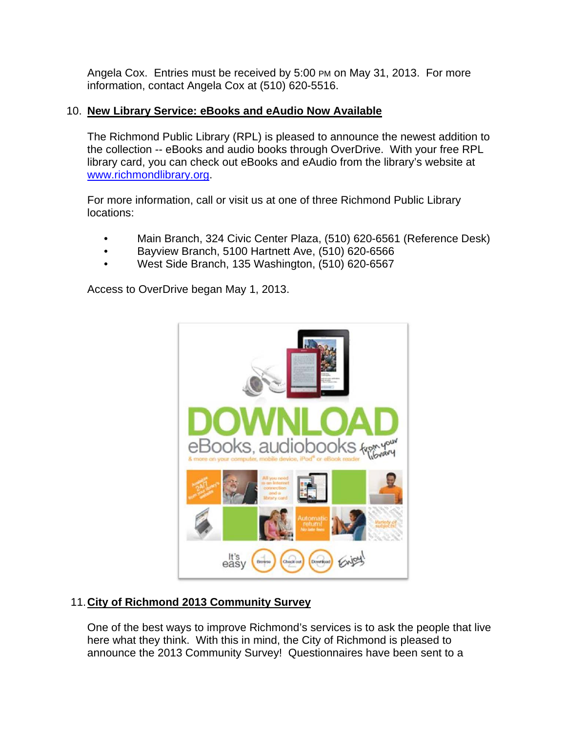Angela Cox. Entries must be received by 5:00 PM on May 31, 2013. For more information, contact Angela Cox at (510) 620-5516.

# 10. **New Library Service: eBooks and eAudio Now Available**

The Richmond Public Library (RPL) is pleased to announce the newest addition to the collection -- eBooks and audio books through OverDrive. With your free RPL library card, you can check out eBooks and eAudio from the library's website at www.richmondlibrary.org.

For more information, call or visit us at one of three Richmond Public Library locations:

- Main Branch, 324 Civic Center Plaza, (510) 620-6561 (Reference Desk)
- Bayview Branch, 5100 Hartnett Ave, (510) 620-6566
- West Side Branch, 135 Washington, (510) 620-6567

Access to OverDrive began May 1, 2013.



# 11. **City of Richmond 2013 Community Survey**

One of the best ways to improve Richmond's services is to ask the people that live here what they think. With this in mind, the City of Richmond is pleased to announce the 2013 Community Survey! Questionnaires have been sent to a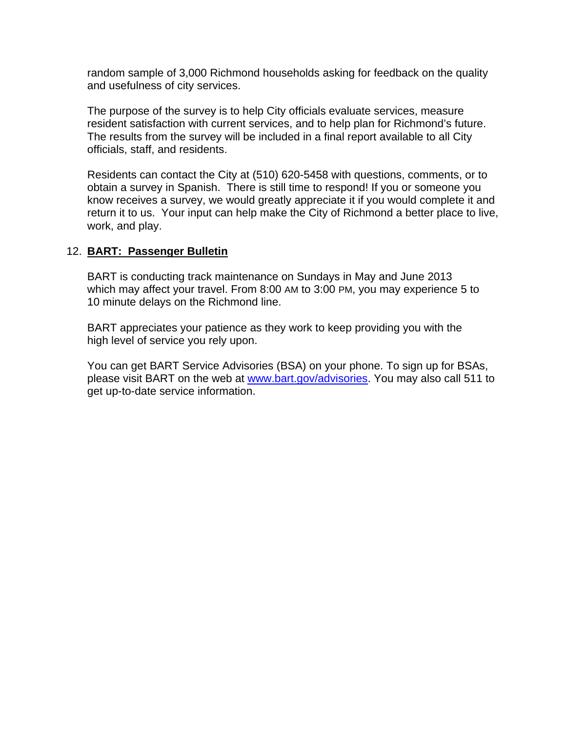random sample of 3,000 Richmond households asking for feedback on the quality and usefulness of city services.

The purpose of the survey is to help City officials evaluate services, measure resident satisfaction with current services, and to help plan for Richmond's future. The results from the survey will be included in a final report available to all City officials, staff, and residents.

Residents can contact the City at (510) 620-5458 with questions, comments, or to obtain a survey in Spanish. There is still time to respond! If you or someone you know receives a survey, we would greatly appreciate it if you would complete it and return it to us. Your input can help make the City of Richmond a better place to live, work, and play.

### 12. **BART: Passenger Bulletin**

BART is conducting track maintenance on Sundays in May and June 2013 which may affect your travel. From 8:00 AM to 3:00 PM, you may experience 5 to 10 minute delays on the Richmond line.

BART appreciates your patience as they work to keep providing you with the high level of service you rely upon.

You can get BART Service Advisories (BSA) on your phone. To sign up for BSAs, please visit BART on the web at www.bart.gov/advisories. You may also call 511 to get up-to-date service information.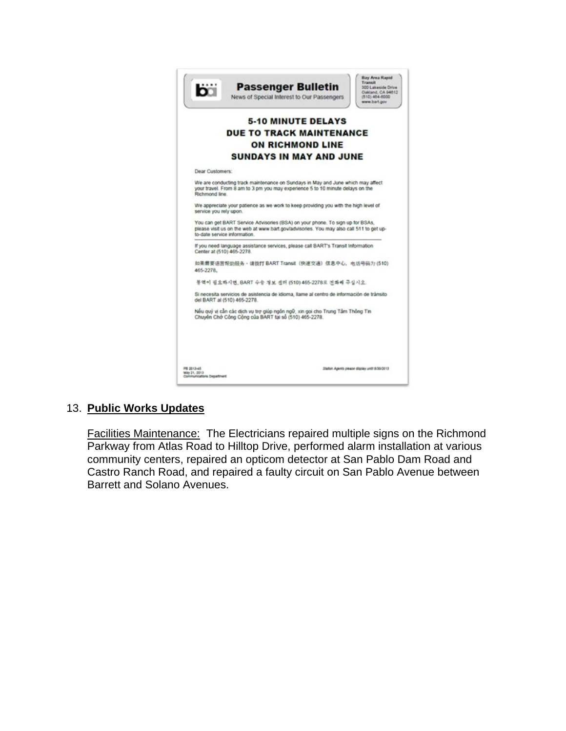

# 13. **Public Works Updates**

Facilities Maintenance: The Electricians repaired multiple signs on the Richmond Parkway from Atlas Road to Hilltop Drive, performed alarm installation at various community centers, repaired an opticom detector at San Pablo Dam Road and Castro Ranch Road, and repaired a faulty circuit on San Pablo Avenue between Barrett and Solano Avenues.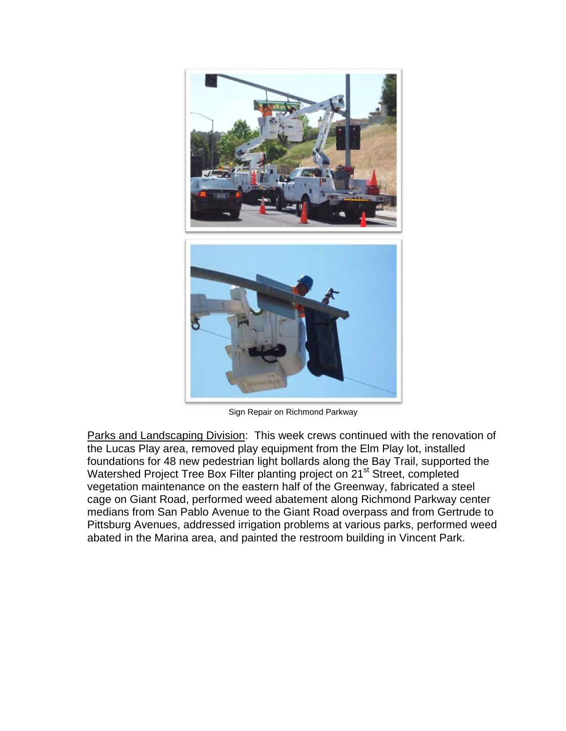

Sign Repair on Richmond Parkway

Parks and Landscaping Division: This week crews continued with the renovation of the Lucas Play area, removed play equipment from the Elm Play lot, installed foundations for 48 new pedestrian light bollards along the Bay Trail, supported the Watershed Project Tree Box Filter planting project on 21<sup>st</sup> Street, completed vegetation maintenance on the eastern half of the Greenway, fabricated a steel cage on Giant Road, performed weed abatement along Richmond Parkway center medians from San Pablo Avenue to the Giant Road overpass and from Gertrude to Pittsburg Avenues, addressed irrigation problems at various parks, performed weed abated in the Marina area, and painted the restroom building in Vincent Park.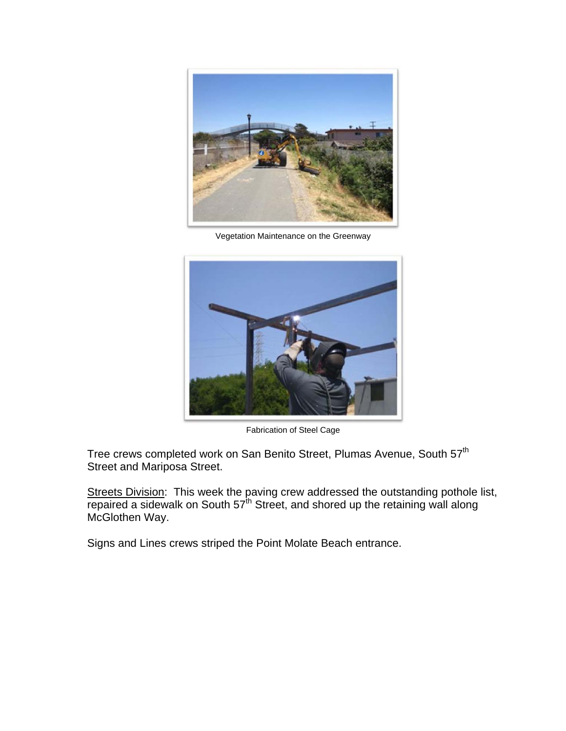

Vegetation Maintenance on the Greenway



Fabrication of Steel Cage

Tree crews completed work on San Benito Street, Plumas Avenue, South 57<sup>th</sup> Street and Mariposa Street.

Streets Division: This week the paving crew addressed the outstanding pothole list, repaired a sidewalk on South  $57<sup>th</sup>$  Street, and shored up the retaining wall along McGlothen Way.

Signs and Lines crews striped the Point Molate Beach entrance.